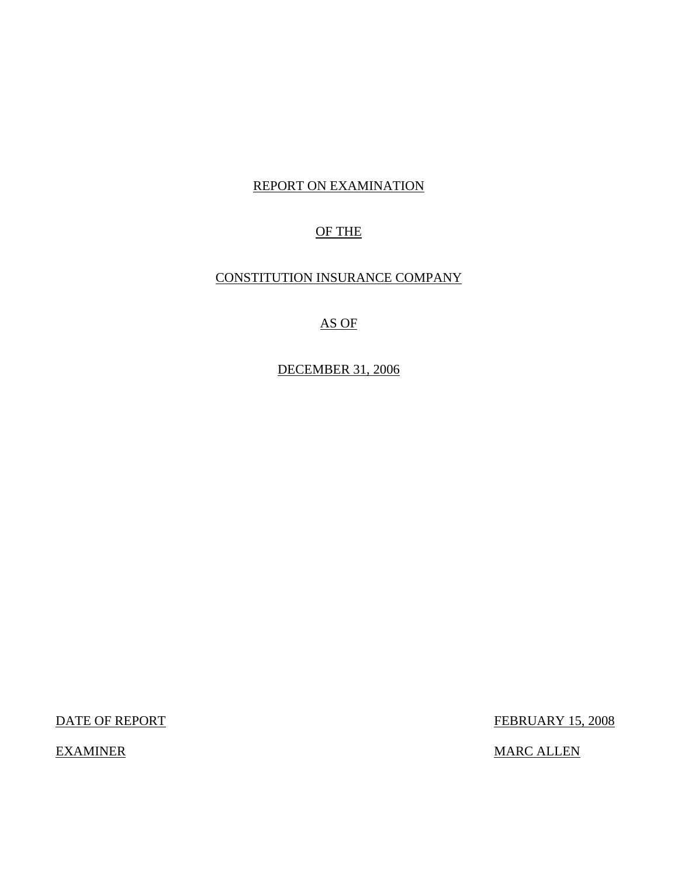# REPORT ON EXAMINATION

# OF THE

# CONSTITUTION INSURANCE COMPANY

# AS OF

DECEMBER 31, 2006

DATE OF REPORT FEBRUARY 15, 2008

EXAMINER MARC ALLEN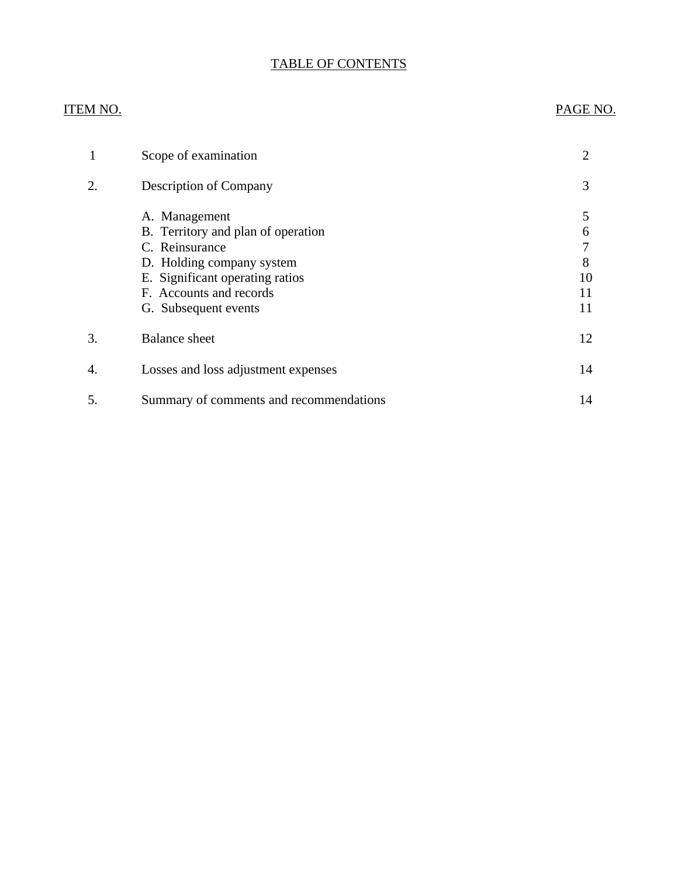# TABLE OF CONTENTS

### ITEM NO. PAGE NO.

|     | Scope of examination                                                                                                                                                                     | $\overline{2}$                     |
|-----|------------------------------------------------------------------------------------------------------------------------------------------------------------------------------------------|------------------------------------|
| 2.  | <b>Description of Company</b>                                                                                                                                                            | 3                                  |
|     | A. Management<br>B. Territory and plan of operation<br>C. Reinsurance<br>D. Holding company system<br>E. Significant operating ratios<br>F. Accounts and records<br>G. Subsequent events | 5<br>6<br>7<br>8<br>10<br>11<br>11 |
| 3.  | <b>Balance</b> sheet                                                                                                                                                                     | 12                                 |
| 4.  | Losses and loss adjustment expenses                                                                                                                                                      | 14                                 |
| .5. | Summary of comments and recommendations                                                                                                                                                  | 14                                 |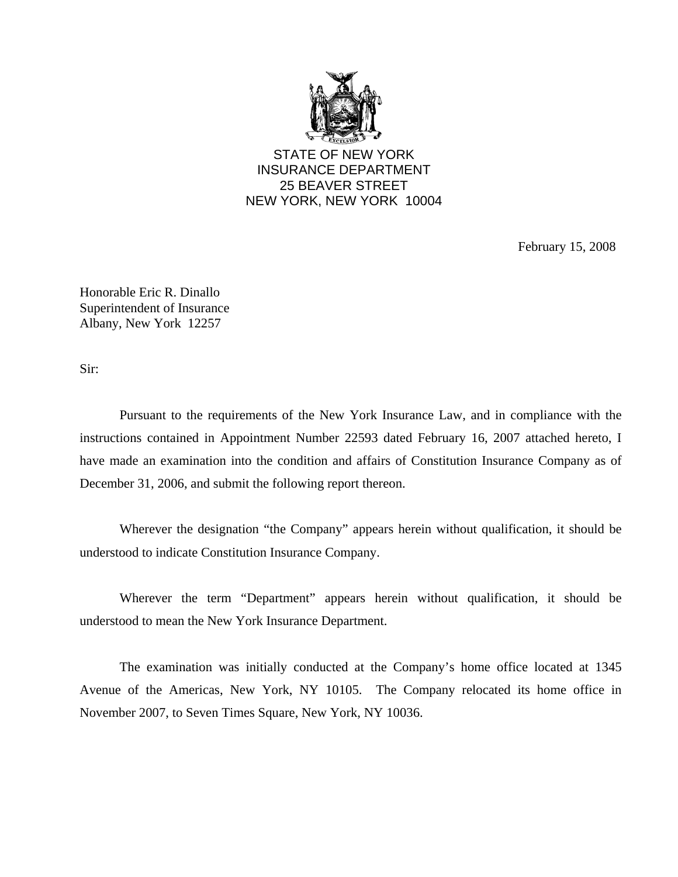

STATE OF NEW YORK INSURANCE DEPARTMENT 25 BEAVER STREET NEW YORK, NEW YORK 10004

February 15, 2008

Honorable Eric R. Dinallo Superintendent of Insurance Albany, New York 12257

Sir:

Pursuant to the requirements of the New York Insurance Law, and in compliance with the instructions contained in Appointment Number 22593 dated February 16, 2007 attached hereto, I have made an examination into the condition and affairs of Constitution Insurance Company as of December 31, 2006, and submit the following report thereon.

Wherever the designation "the Company" appears herein without qualification, it should be understood to indicate Constitution Insurance Company.

Wherever the term "Department" appears herein without qualification, it should be understood to mean the New York Insurance Department.

The examination was initially conducted at the Company's home office located at 1345 Avenue of the Americas, New York, NY 10105. The Company relocated its home office in November 2007, to Seven Times Square, New York, NY 10036.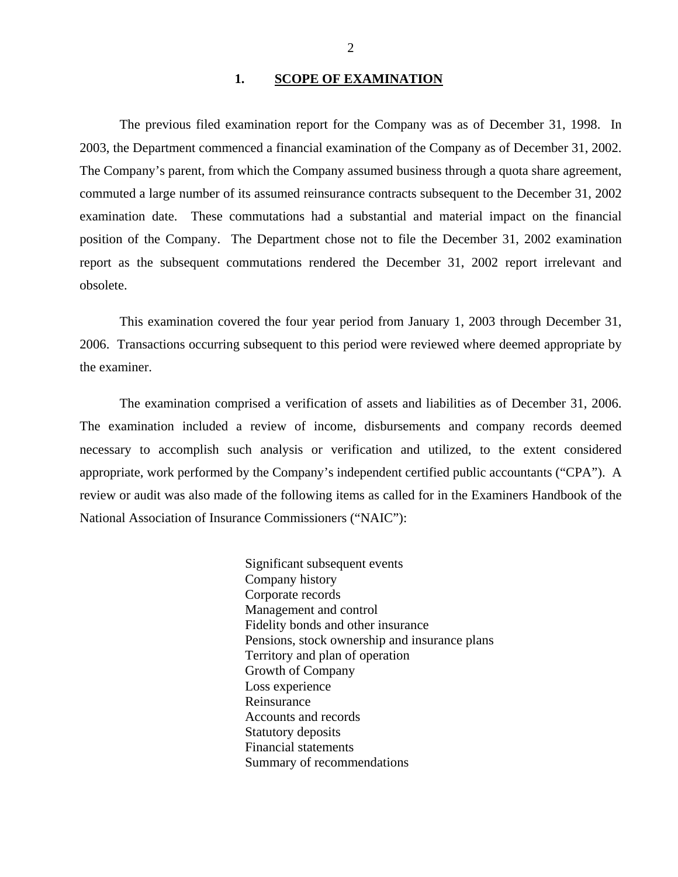#### **1. SCOPE OF EXAMINATION**

<span id="page-3-0"></span>The previous filed examination report for the Company was as of December 31, 1998. In 2003, the Department commenced a financial examination of the Company as of December 31, 2002. The Company's parent, from which the Company assumed business through a quota share agreement, commuted a large number of its assumed reinsurance contracts subsequent to the December 31, 2002 examination date. These commutations had a substantial and material impact on the financial position of the Company. The Department chose not to file the December 31, 2002 examination report as the subsequent commutations rendered the December 31, 2002 report irrelevant and obsolete.

This examination covered the four year period from January 1, 2003 through December 31, 2006. Transactions occurring subsequent to this period were reviewed where deemed appropriate by the examiner.

The examination comprised a verification of assets and liabilities as of December 31, 2006. The examination included a review of income, disbursements and company records deemed necessary to accomplish such analysis or verification and utilized, to the extent considered appropriate, work performed by the Company's independent certified public accountants ("CPA"). A review or audit was also made of the following items as called for in the Examiners Handbook of the National Association of Insurance Commissioners ("NAIC"):

> Significant subsequent events Company history Corporate records Management and control Fidelity bonds and other insurance Pensions, stock ownership and insurance plans Territory and plan of operation Growth of Company Loss experience Reinsurance Accounts and records Statutory deposits Financial statements Summary of recommendations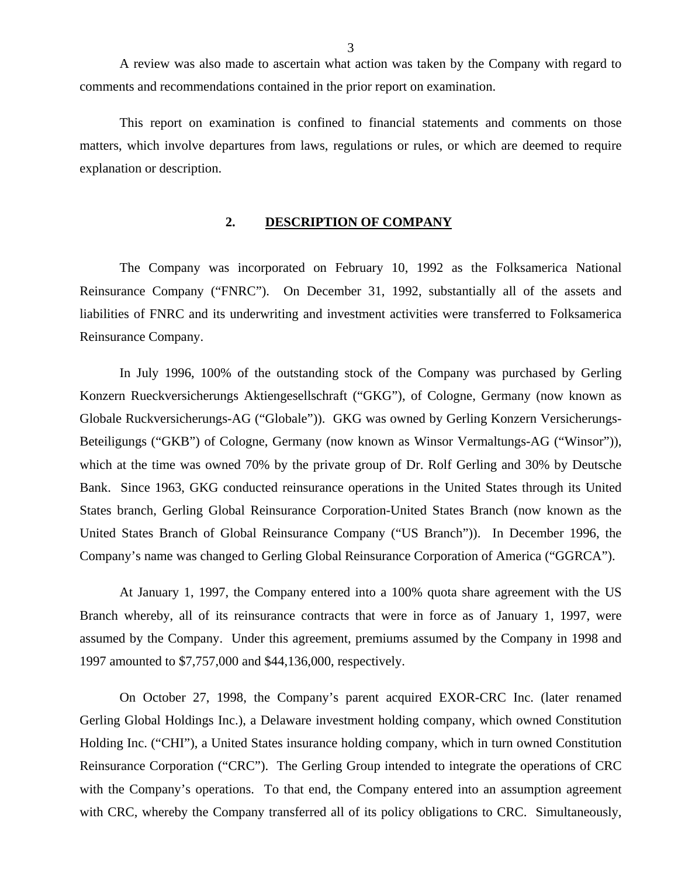<span id="page-4-0"></span>A review was also made to ascertain what action was taken by the Company with regard to comments and recommendations contained in the prior report on examination.

This report on examination is confined to financial statements and comments on those matters, which involve departures from laws, regulations or rules, or which are deemed to require explanation or description.

#### **2. DESCRIPTION OF COMPANY**

The Company was incorporated on February 10, 1992 as the Folksamerica National Reinsurance Company ("FNRC"). On December 31, 1992, substantially all of the assets and liabilities of FNRC and its underwriting and investment activities were transferred to Folksamerica Reinsurance Company.

In July 1996, 100% of the outstanding stock of the Company was purchased by Gerling Konzern Rueckversicherungs Aktiengesellschraft ("GKG"), of Cologne, Germany (now known as Globale Ruckversicherungs-AG ("Globale")). GKG was owned by Gerling Konzern Versicherungs-Beteiligungs ("GKB") of Cologne, Germany (now known as Winsor Vermaltungs-AG ("Winsor")), which at the time was owned 70% by the private group of Dr. Rolf Gerling and 30% by Deutsche Bank. Since 1963, GKG conducted reinsurance operations in the United States through its United States branch, Gerling Global Reinsurance Corporation-United States Branch (now known as the United States Branch of Global Reinsurance Company ("US Branch")). In December 1996, the Company's name was changed to Gerling Global Reinsurance Corporation of America ("GGRCA").

At January 1, 1997, the Company entered into a 100% quota share agreement with the US Branch whereby, all of its reinsurance contracts that were in force as of January 1, 1997, were assumed by the Company. Under this agreement, premiums assumed by the Company in 1998 and 1997 amounted to \$7,757,000 and \$44,136,000, respectively.

On October 27, 1998, the Company's parent acquired EXOR-CRC Inc. (later renamed Gerling Global Holdings Inc.), a Delaware investment holding company, which owned Constitution Holding Inc. ("CHI"), a United States insurance holding company, which in turn owned Constitution Reinsurance Corporation ("CRC"). The Gerling Group intended to integrate the operations of CRC with the Company's operations. To that end, the Company entered into an assumption agreement with CRC, whereby the Company transferred all of its policy obligations to CRC. Simultaneously,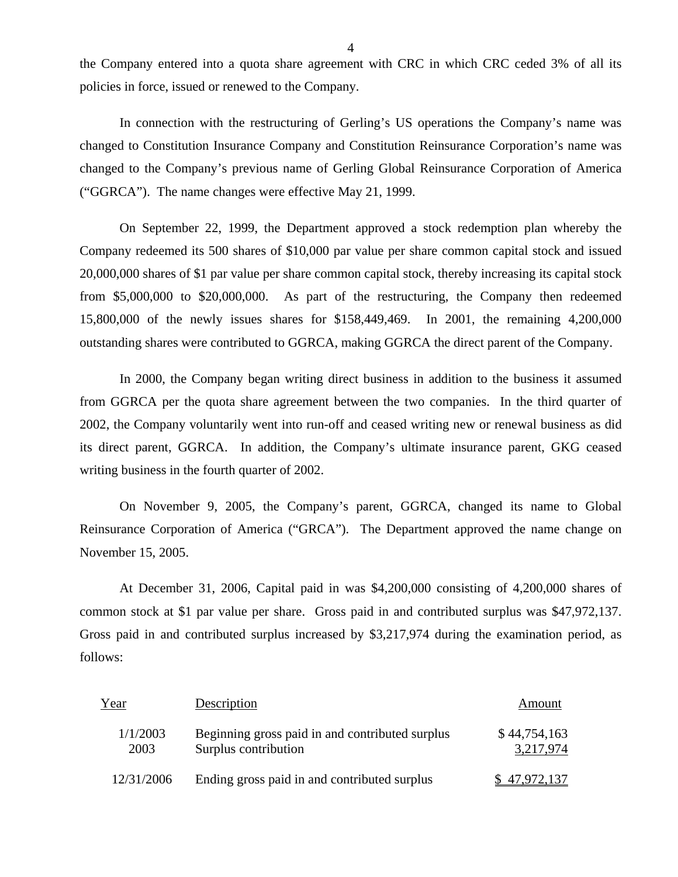the Company entered into a quota share agreement with CRC in which CRC ceded 3% of all its policies in force, issued or renewed to the Company.

In connection with the restructuring of Gerling's US operations the Company's name was changed to Constitution Insurance Company and Constitution Reinsurance Corporation's name was changed to the Company's previous name of Gerling Global Reinsurance Corporation of America ("GGRCA"). The name changes were effective May 21, 1999.

On September 22, 1999, the Department approved a stock redemption plan whereby the Company redeemed its 500 shares of \$10,000 par value per share common capital stock and issued 20,000,000 shares of \$1 par value per share common capital stock, thereby increasing its capital stock from \$5,000,000 to \$20,000,000. As part of the restructuring, the Company then redeemed 15,800,000 of the newly issues shares for \$158,449,469. In 2001, the remaining 4,200,000 outstanding shares were contributed to GGRCA, making GGRCA the direct parent of the Company.

In 2000, the Company began writing direct business in addition to the business it assumed from GGRCA per the quota share agreement between the two companies. In the third quarter of 2002, the Company voluntarily went into run-off and ceased writing new or renewal business as did its direct parent, GGRCA. In addition, the Company's ultimate insurance parent, GKG ceased writing business in the fourth quarter of 2002.

On November 9, 2005, the Company's parent, GGRCA, changed its name to Global Reinsurance Corporation of America ("GRCA"). The Department approved the name change on November 15, 2005.

At December 31, 2006, Capital paid in was \$4,200,000 consisting of 4,200,000 shares of common stock at \$1 par value per share. Gross paid in and contributed surplus was \$47,972,137. Gross paid in and contributed surplus increased by \$3,217,974 during the examination period, as follows:

| Year             | Description                                                             | Amount                    |
|------------------|-------------------------------------------------------------------------|---------------------------|
| 1/1/2003<br>2003 | Beginning gross paid in and contributed surplus<br>Surplus contribution | \$44,754,163<br>3,217,974 |
| 12/31/2006       | Ending gross paid in and contributed surplus                            | 47.972.137                |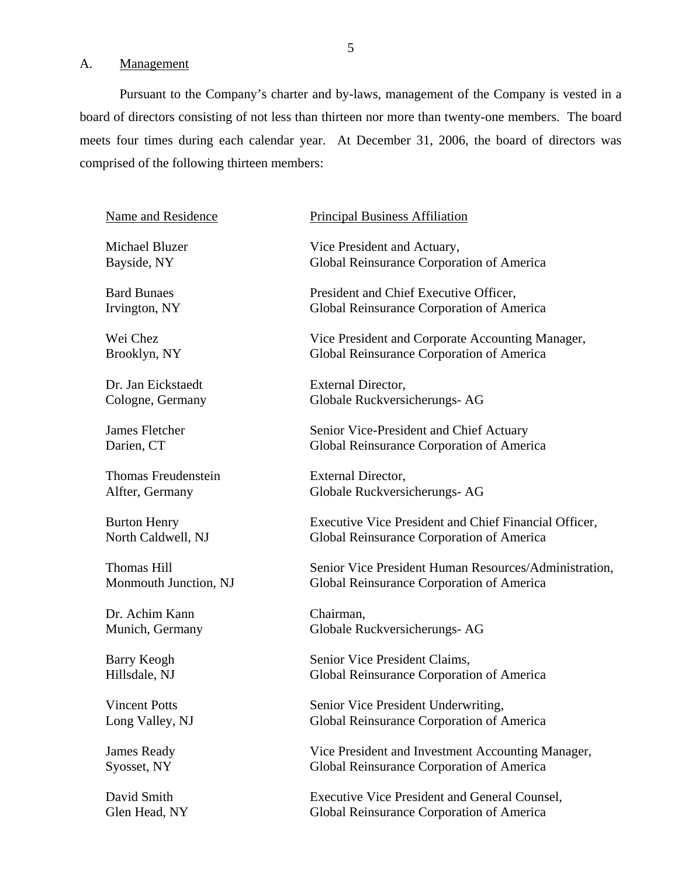#### A. Management

Pursuant to the Company's charter and by-laws, management of the Company is vested in a board of directors consisting of not less than thirteen nor more than twenty-one members. The board meets four times during each calendar year. At December 31, 2006, the board of directors was comprised of the following thirteen members:

Dr. Jan Eickstaedt External Director,

Thomas Freudenstein External Director,

Dr. Achim Kann Chairman,

#### Name and Residence Principal Business Affiliation

Michael Bluzer Vice President and Actuary, Bayside, NY Global Reinsurance Corporation of America

Bard Bunaes President and Chief Executive Officer, Irvington, NY Global Reinsurance Corporation of America

Wei Chez Vice President and Corporate Accounting Manager, Brooklyn, NY Global Reinsurance Corporation of America

Cologne, Germany Globale Ruckversicherungs- AG

James Fletcher Senior Vice-President and Chief Actuary Darien, CT Global Reinsurance Corporation of America

Alfter, Germany Globale Ruckversicherungs- AG

Burton Henry Executive Vice President and Chief Financial Officer, North Caldwell, NJ Global Reinsurance Corporation of America

Thomas Hill Senior Vice President Human Resources/Administration, Monmouth Junction, NJ Global Reinsurance Corporation of America

Munich, Germany Globale Ruckversicherungs- AG

Barry Keogh Senior Vice President Claims, Hillsdale, NJ Global Reinsurance Corporation of America

Vincent Potts Senior Vice President Underwriting, Long Valley, NJ Global Reinsurance Corporation of America

James Ready Vice President and Investment Accounting Manager, Syosset, NY Global Reinsurance Corporation of America

David Smith Executive Vice President and General Counsel, Glen Head, NY Global Reinsurance Corporation of America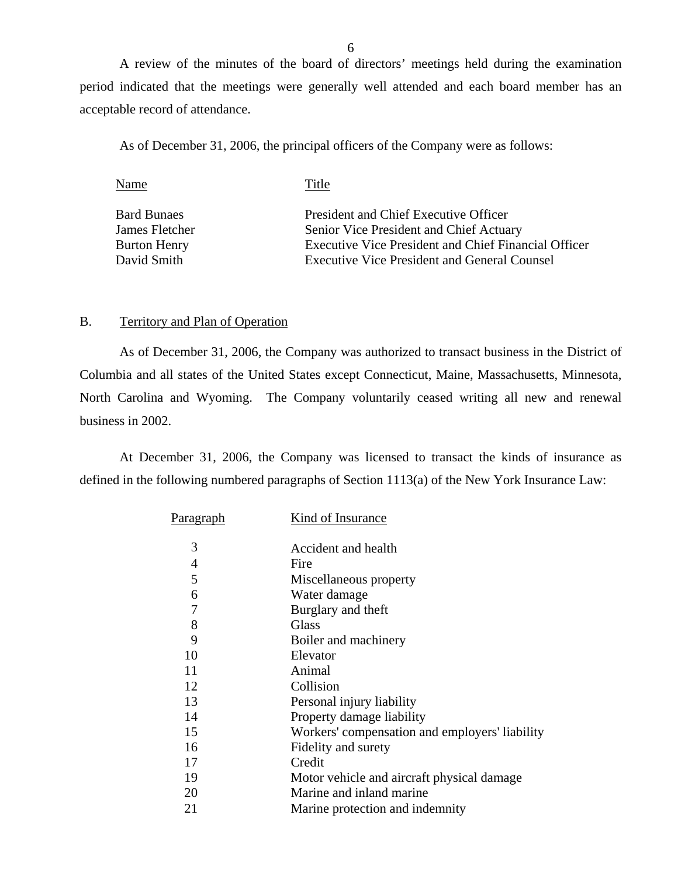A review of the minutes of the board of directors' meetings held during the examination period indicated that the meetings were generally well attended and each board member has an acceptable record of attendance.

As of December 31, 2006, the principal officers of the Company were as follows:

| Title                                                |
|------------------------------------------------------|
| President and Chief Executive Officer                |
| Senior Vice President and Chief Actuary              |
| Executive Vice President and Chief Financial Officer |
| <b>Executive Vice President and General Counsel</b>  |
|                                                      |

#### B. Territory and Plan of Operation

As of December 31, 2006, the Company was authorized to transact business in the District of Columbia and all states of the United States except Connecticut, Maine, Massachusetts, Minnesota, North Carolina and Wyoming. The Company voluntarily ceased writing all new and renewal business in 2002.

At December 31, 2006, the Company was licensed to transact the kinds of insurance as defined in the following numbered paragraphs of Section 1113(a) of the New York Insurance Law:

| <u>Paragraph</u> | Kind of Insurance                              |
|------------------|------------------------------------------------|
| 3                | Accident and health                            |
| $\overline{4}$   | Fire                                           |
| 5                | Miscellaneous property                         |
| 6                | Water damage                                   |
| 7                | Burglary and theft                             |
| 8                | <b>Glass</b>                                   |
| 9                | Boiler and machinery                           |
| 10               | Elevator                                       |
| 11               | Animal                                         |
| 12               | Collision                                      |
| 13               | Personal injury liability                      |
| 14               | Property damage liability                      |
| 15               | Workers' compensation and employers' liability |
| 16               | Fidelity and surety                            |
| 17               | Credit                                         |
| 19               | Motor vehicle and aircraft physical damage     |
| 20               | Marine and inland marine                       |
| 21               | Marine protection and indemnity                |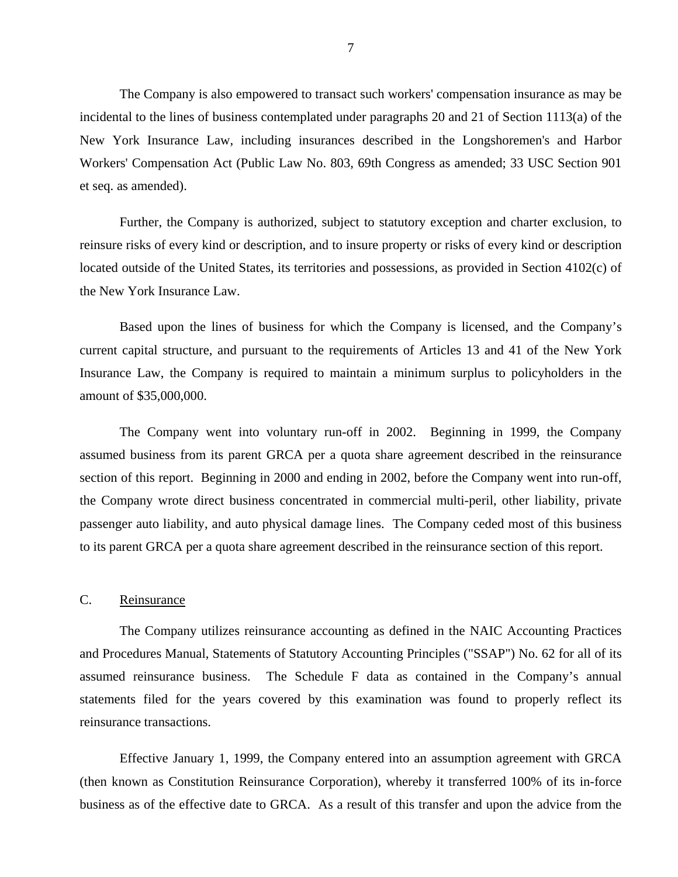<span id="page-8-0"></span>The Company is also empowered to transact such workers' compensation insurance as may be incidental to the lines of business contemplated under paragraphs 20 and 21 of Section 1113(a) of the New York Insurance Law, including insurances described in the Longshoremen's and Harbor Workers' Compensation Act (Public Law No. 803, 69th Congress as amended; 33 USC Section 901 et seq. as amended).

Further, the Company is authorized, subject to statutory exception and charter exclusion, to reinsure risks of every kind or description, and to insure property or risks of every kind or description located outside of the United States, its territories and possessions, as provided in Section 4102(c) of the New York Insurance Law.

Based upon the lines of business for which the Company is licensed, and the Company's current capital structure, and pursuant to the requirements of Articles 13 and 41 of the New York Insurance Law, the Company is required to maintain a minimum surplus to policyholders in the amount of \$35,000,000.

The Company went into voluntary run-off in 2002. Beginning in 1999, the Company assumed business from its parent GRCA per a quota share agreement described in the reinsurance section of this report. Beginning in 2000 and ending in 2002, before the Company went into run-off, the Company wrote direct business concentrated in commercial multi-peril, other liability, private passenger auto liability, and auto physical damage lines. The Company ceded most of this business to its parent GRCA per a quota share agreement described in the reinsurance section of this report.

#### C. Reinsurance

The Company utilizes reinsurance accounting as defined in the NAIC Accounting Practices and Procedures Manual, Statements of Statutory Accounting Principles ("SSAP") No. 62 for all of its assumed reinsurance business. The Schedule F data as contained in the Company's annual statements filed for the years covered by this examination was found to properly reflect its reinsurance transactions.

Effective January 1, 1999, the Company entered into an assumption agreement with GRCA (then known as Constitution Reinsurance Corporation), whereby it transferred 100% of its in-force business as of the effective date to GRCA. As a result of this transfer and upon the advice from the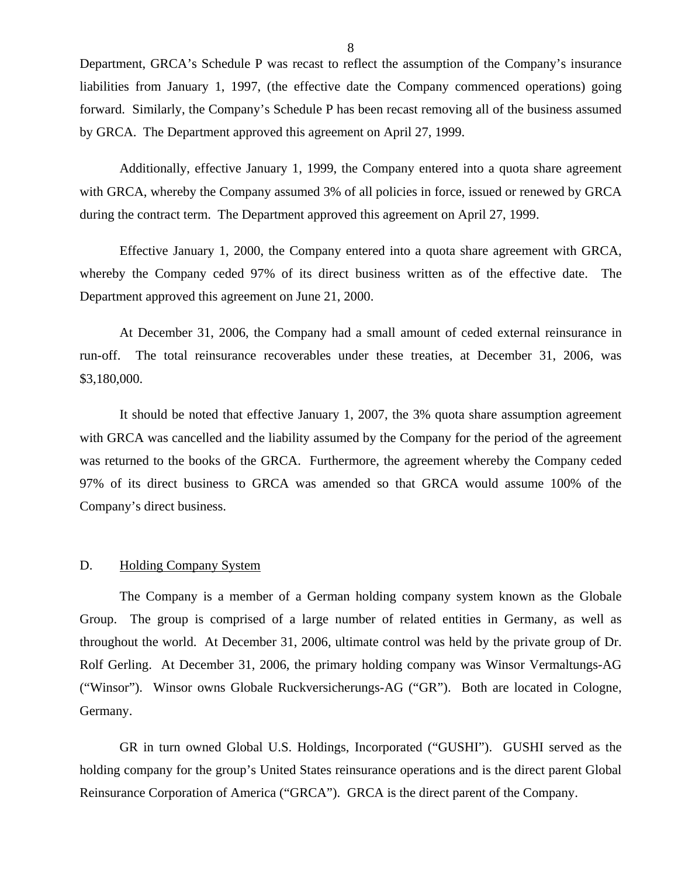<span id="page-9-0"></span>Department, GRCA's Schedule P was recast to reflect the assumption of the Company's insurance liabilities from January 1, 1997, (the effective date the Company commenced operations) going forward. Similarly, the Company's Schedule P has been recast removing all of the business assumed by GRCA. The Department approved this agreement on April 27, 1999.

Additionally, effective January 1, 1999, the Company entered into a quota share agreement with GRCA, whereby the Company assumed 3% of all policies in force, issued or renewed by GRCA during the contract term. The Department approved this agreement on April 27, 1999.

Effective January 1, 2000, the Company entered into a quota share agreement with GRCA, whereby the Company ceded 97% of its direct business written as of the effective date. The Department approved this agreement on June 21, 2000.

At December 31, 2006, the Company had a small amount of ceded external reinsurance in run-off. The total reinsurance recoverables under these treaties, at December 31, 2006, was \$3,180,000.

It should be noted that effective January 1, 2007, the 3% quota share assumption agreement with GRCA was cancelled and the liability assumed by the Company for the period of the agreement was returned to the books of the GRCA. Furthermore, the agreement whereby the Company ceded 97% of its direct business to GRCA was amended so that GRCA would assume 100% of the Company's direct business.

#### D. Holding Company System

The Company is a member of a German holding company system known as the Globale Group. The group is comprised of a large number of related entities in Germany, as well as throughout the world. At December 31, 2006, ultimate control was held by the private group of Dr. Rolf Gerling. At December 31, 2006, the primary holding company was Winsor Vermaltungs-AG ("Winsor"). Winsor owns Globale Ruckversicherungs-AG ("GR"). Both are located in Cologne, Germany.

GR in turn owned Global U.S. Holdings, Incorporated ("GUSHI"). GUSHI served as the holding company for the group's United States reinsurance operations and is the direct parent Global Reinsurance Corporation of America ("GRCA"). GRCA is the direct parent of the Company.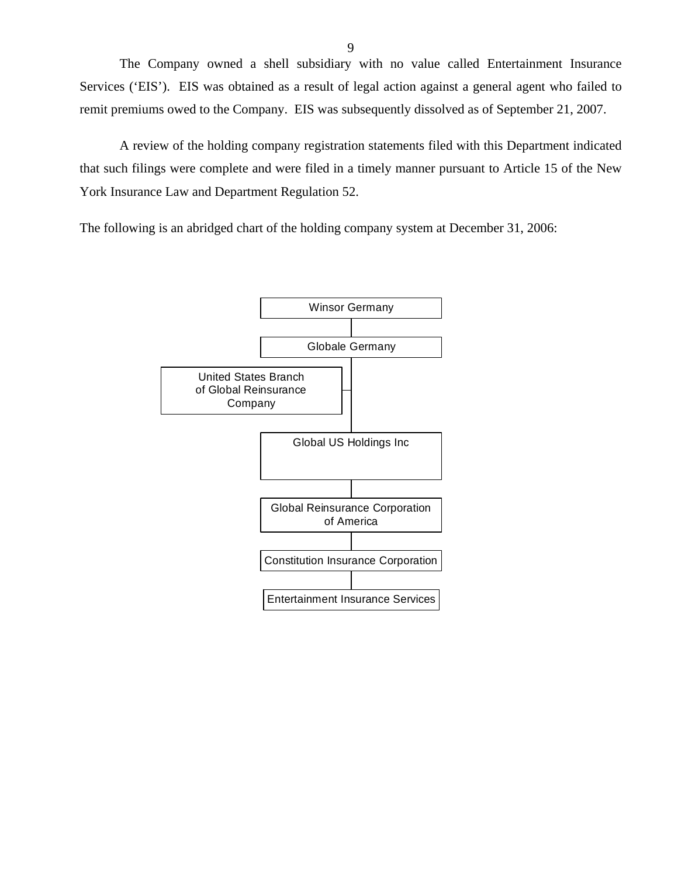The Company owned a shell subsidiary with no value called Entertainment Insurance Services ('EIS'). EIS was obtained as a result of legal action against a general agent who failed to remit premiums owed to the Company. EIS was subsequently dissolved as of September 21, 2007.

A review of the holding company registration statements filed with this Department indicated that such filings were complete and were filed in a timely manner pursuant to Article 15 of the New York Insurance Law and Department Regulation 52.

The following is an abridged chart of the holding company system at December 31, 2006:

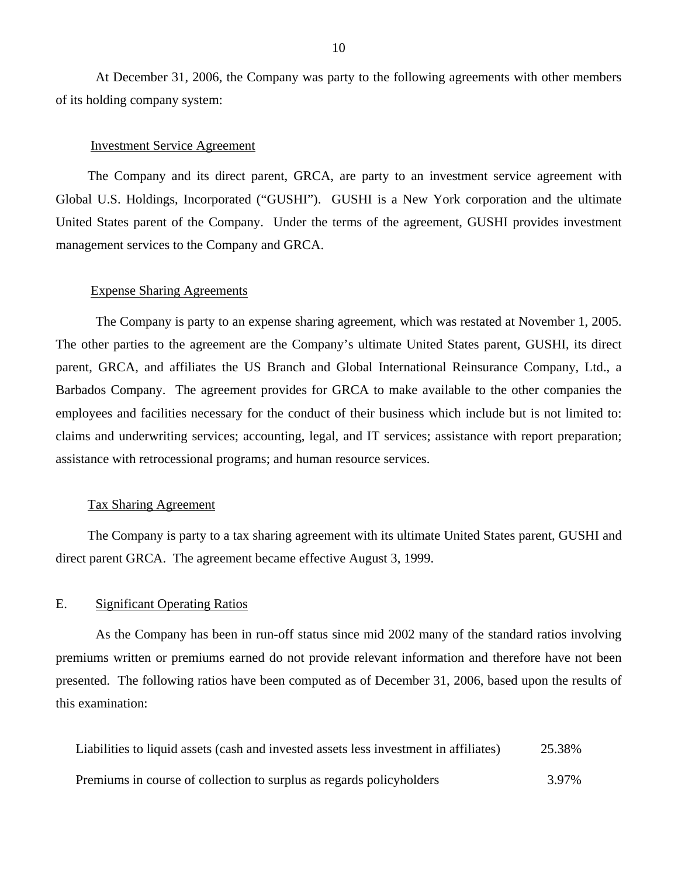<span id="page-11-0"></span>At December 31, 2006, the Company was party to the following agreements with other members of its holding company system:

#### Investment Service Agreement

The Company and its direct parent, GRCA, are party to an investment service agreement with Global U.S. Holdings, Incorporated ("GUSHI"). GUSHI is a New York corporation and the ultimate United States parent of the Company. Under the terms of the agreement, GUSHI provides investment management services to the Company and GRCA.

#### Expense Sharing Agreements

The Company is party to an expense sharing agreement, which was restated at November 1, 2005. The other parties to the agreement are the Company's ultimate United States parent, GUSHI, its direct parent, GRCA, and affiliates the US Branch and Global International Reinsurance Company, Ltd., a Barbados Company. The agreement provides for GRCA to make available to the other companies the employees and facilities necessary for the conduct of their business which include but is not limited to: claims and underwriting services; accounting, legal, and IT services; assistance with report preparation; assistance with retrocessional programs; and human resource services.

#### Tax Sharing Agreement

The Company is party to a tax sharing agreement with its ultimate United States parent, GUSHI and direct parent GRCA. The agreement became effective August 3, 1999.

#### E. Significant Operating Ratios

As the Company has been in run-off status since mid 2002 many of the standard ratios involving premiums written or premiums earned do not provide relevant information and therefore have not been presented. The following ratios have been computed as of December 31, 2006, based upon the results of this examination:

| Liabilities to liquid assets (cash and invested assets less investment in affiliates) |       |  |
|---------------------------------------------------------------------------------------|-------|--|
| Premiums in course of collection to surplus as regards policyholders                  | 3.97% |  |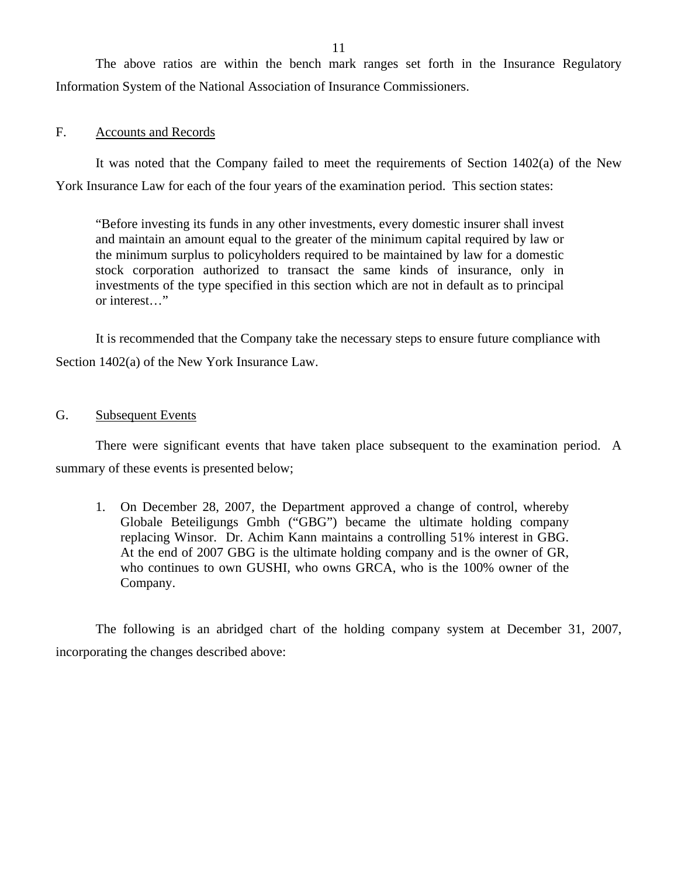<span id="page-12-0"></span>The above ratios are within the bench mark ranges set forth in the Insurance Regulatory Information System of the National Association of Insurance Commissioners.

#### F. Accounts and Records

It was noted that the Company failed to meet the requirements of Section 1402(a) of the New York Insurance Law for each of the four years of the examination period. This section states:

"Before investing its funds in any other investments, every domestic insurer shall invest and maintain an amount equal to the greater of the minimum capital required by law or the minimum surplus to policyholders required to be maintained by law for a domestic stock corporation authorized to transact the same kinds of insurance, only in investments of the type specified in this section which are not in default as to principal or interest…"

It is recommended that the Company take the necessary steps to ensure future compliance with Section 1402(a) of the New York Insurance Law.

#### G. Subsequent Events

There were significant events that have taken place subsequent to the examination period. A summary of these events is presented below;

1. On December 28, 2007, the Department approved a change of control, whereby Globale Beteiligungs Gmbh ("GBG") became the ultimate holding company replacing Winsor. Dr. Achim Kann maintains a controlling 51% interest in GBG. At the end of 2007 GBG is the ultimate holding company and is the owner of GR, who continues to own GUSHI, who owns GRCA, who is the 100% owner of the Company.

The following is an abridged chart of the holding company system at December 31, 2007, incorporating the changes described above: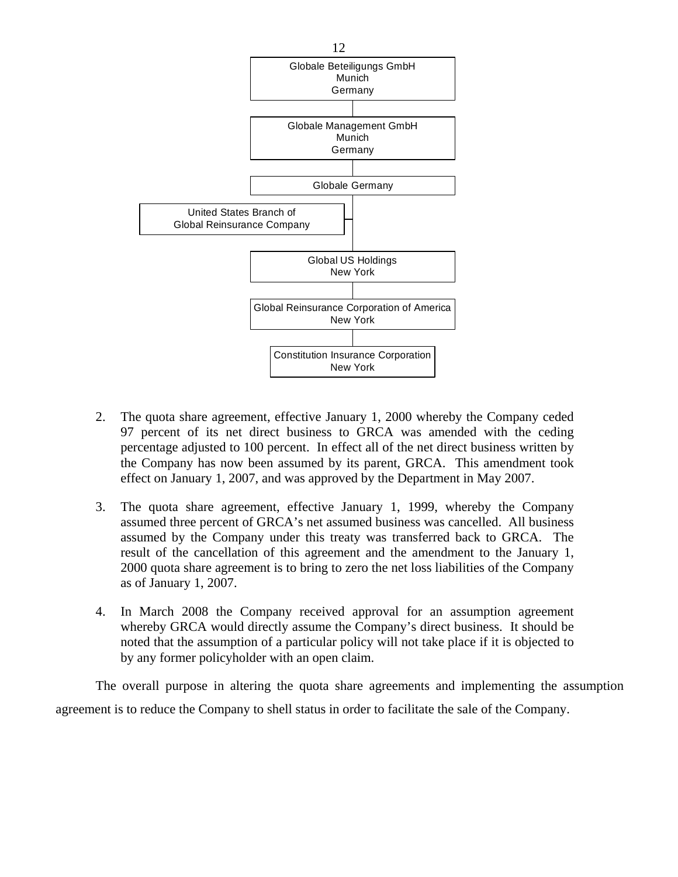<span id="page-13-0"></span>

- 2. The quota share agreement, effective January 1, 2000 whereby the Company ceded 97 percent of its net direct business to GRCA was amended with the ceding percentage adjusted to 100 percent. In effect all of the net direct business written by the Company has now been assumed by its parent, GRCA. This amendment took effect on January 1, 2007, and was approved by the Department in May 2007.
- 3. The quota share agreement, effective January 1, 1999, whereby the Company assumed three percent of GRCA's net assumed business was cancelled. All business assumed by the Company under this treaty was transferred back to GRCA. The result of the cancellation of this agreement and the amendment to the January 1, 2000 quota share agreement is to bring to zero the net loss liabilities of the Company as of January 1, 2007.
- 4. In March 2008 the Company received approval for an assumption agreement whereby GRCA would directly assume the Company's direct business. It should be noted that the assumption of a particular policy will not take place if it is objected to by any former policyholder with an open claim.

The overall purpose in altering the quota share agreements and implementing the assumption agreement is to reduce the Company to shell status in order to facilitate the sale of the Company.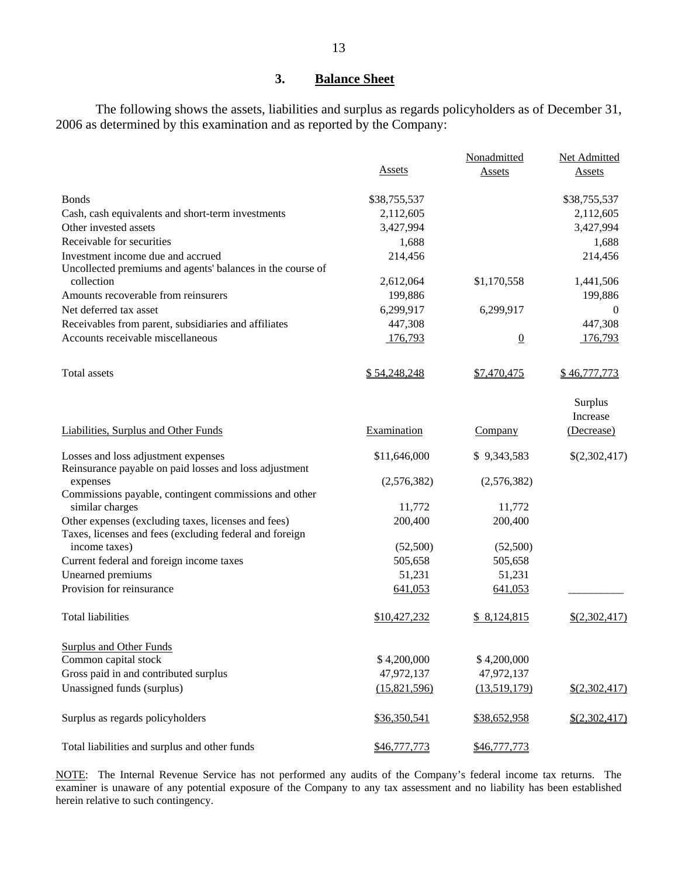### **3. Balance Sheet**

The following shows the assets, liabilities and surplus as regards policyholders as of December 31, 2006 as determined by this examination and as reported by the Company:

|                                                                          |              | Nonadmitted    | Net Admitted                      |
|--------------------------------------------------------------------------|--------------|----------------|-----------------------------------|
|                                                                          | Assets       | Assets         | <b>Assets</b>                     |
| <b>Bonds</b>                                                             | \$38,755,537 |                | \$38,755,537                      |
| Cash, cash equivalents and short-term investments                        | 2,112,605    |                | 2,112,605                         |
| Other invested assets                                                    | 3,427,994    |                | 3,427,994                         |
| Receivable for securities                                                | 1,688        |                | 1,688                             |
| Investment income due and accrued                                        | 214,456      |                | 214,456                           |
| Uncollected premiums and agents' balances in the course of               |              |                |                                   |
| collection                                                               | 2,612,064    | \$1,170,558    | 1,441,506                         |
| Amounts recoverable from reinsurers                                      | 199,886      |                | 199,886                           |
| Net deferred tax asset                                                   | 6,299,917    | 6,299,917      | $\overline{0}$                    |
| Receivables from parent, subsidiaries and affiliates                     | 447,308      |                | 447,308                           |
| Accounts receivable miscellaneous                                        | 176,793      | $\overline{0}$ | 176,793                           |
| Total assets                                                             | \$54,248,248 | \$7,470,475    | \$46,777,773                      |
| Liabilities, Surplus and Other Funds                                     | Examination  | Company        | Surplus<br>Increase<br>(Decrease) |
|                                                                          |              |                |                                   |
| Losses and loss adjustment expenses                                      | \$11,646,000 | \$9,343,583    | \$(2,302,417)                     |
| Reinsurance payable on paid losses and loss adjustment                   |              |                |                                   |
| expenses                                                                 | (2,576,382)  | (2,576,382)    |                                   |
| Commissions payable, contingent commissions and other<br>similar charges | 11,772       | 11,772         |                                   |
| Other expenses (excluding taxes, licenses and fees)                      | 200,400      | 200,400        |                                   |
| Taxes, licenses and fees (excluding federal and foreign                  |              |                |                                   |
| income taxes)                                                            | (52,500)     | (52,500)       |                                   |
| Current federal and foreign income taxes                                 | 505,658      | 505,658        |                                   |
| Unearned premiums                                                        | 51,231       | 51,231         |                                   |
| Provision for reinsurance                                                | 641,053      | 641,053        |                                   |
| <b>Total liabilities</b>                                                 | \$10,427,232 | \$8,124,815    | \$(2,302,417)                     |
| Surplus and Other Funds                                                  |              |                |                                   |
| Common capital stock                                                     | \$4,200,000  | \$4,200,000    |                                   |
| Gross paid in and contributed surplus                                    | 47,972,137   | 47,972,137     |                                   |
| Unassigned funds (surplus)                                               | (15,821,596) | (13,519,179)   | \$(2,302,417)                     |
| Surplus as regards policyholders                                         | \$36,350,541 | \$38,652,958   | \$(2,302,417)                     |
| Total liabilities and surplus and other funds                            | \$46,777,773 | \$46,777,773   |                                   |

NOTE: The Internal Revenue Service has not performed any audits of the Company's federal income tax returns. The examiner is unaware of any potential exposure of the Company to any tax assessment and no liability has been established herein relative to such contingency.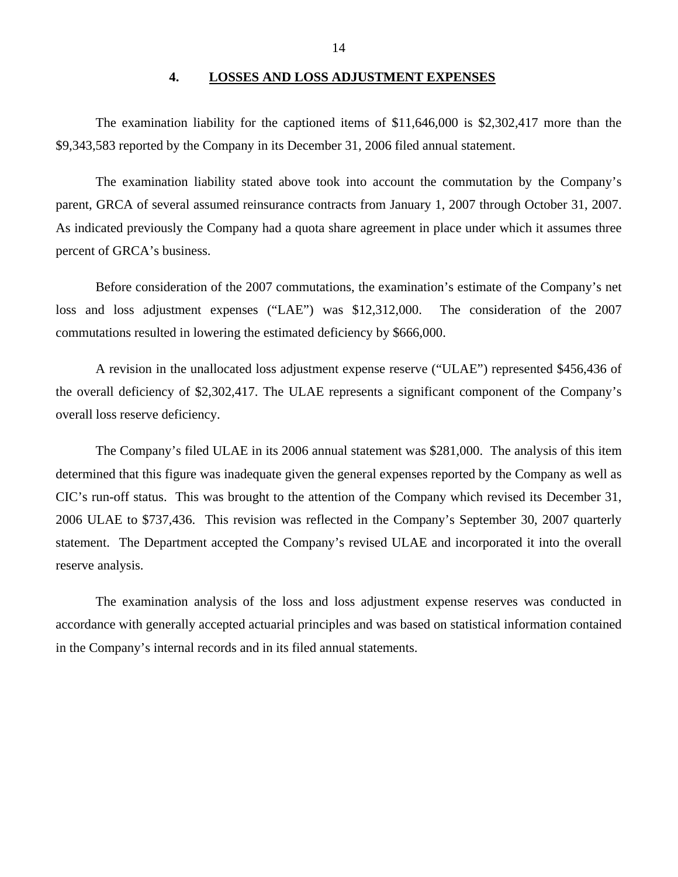#### **4. LOSSES AND LOSS ADJUSTMENT EXPENSES**

<span id="page-15-0"></span>The examination liability for the captioned items of \$11,646,000 is \$2,302,417 more than the \$9,343,583 reported by the Company in its December 31, 2006 filed annual statement.

The examination liability stated above took into account the commutation by the Company's parent, GRCA of several assumed reinsurance contracts from January 1, 2007 through October 31, 2007. As indicated previously the Company had a quota share agreement in place under which it assumes three percent of GRCA's business.

Before consideration of the 2007 commutations, the examination's estimate of the Company's net loss and loss adjustment expenses ("LAE") was \$12,312,000. The consideration of the 2007 commutations resulted in lowering the estimated deficiency by \$666,000.

A revision in the unallocated loss adjustment expense reserve ("ULAE") represented \$456,436 of the overall deficiency of \$2,302,417. The ULAE represents a significant component of the Company's overall loss reserve deficiency.

The Company's filed ULAE in its 2006 annual statement was \$281,000. The analysis of this item determined that this figure was inadequate given the general expenses reported by the Company as well as CIC's run-off status. This was brought to the attention of the Company which revised its December 31, 2006 ULAE to \$737,436. This revision was reflected in the Company's September 30, 2007 quarterly statement. The Department accepted the Company's revised ULAE and incorporated it into the overall reserve analysis.

The examination analysis of the loss and loss adjustment expense reserves was conducted in accordance with generally accepted actuarial principles and was based on statistical information contained in the Company's internal records and in its filed annual statements.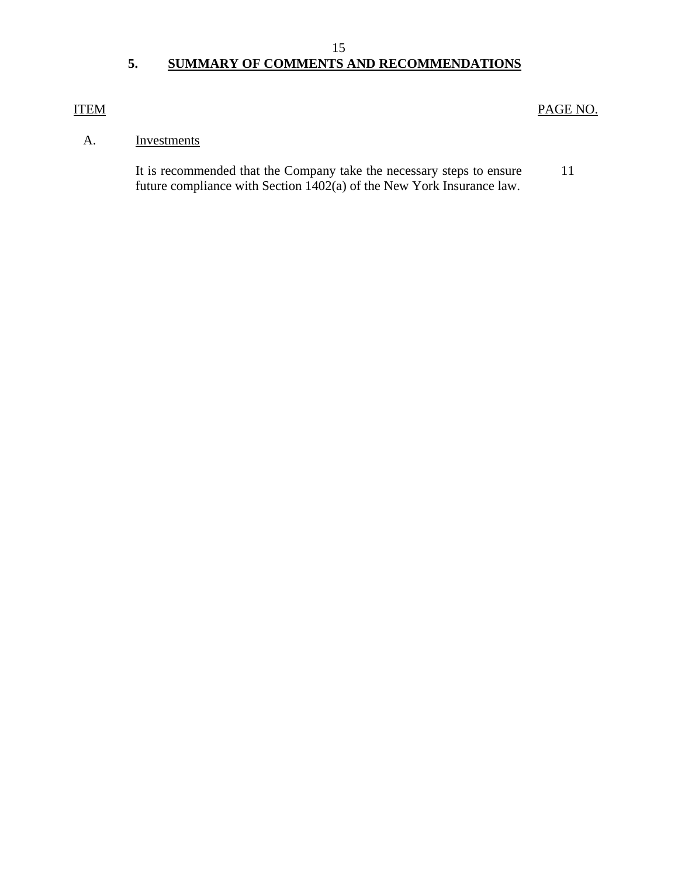# **5. SUMMARY OF COMMENTS AND RECOMMENDATIONS**

### ITEM

# PAGE NO.

# A. Investments

It is recommended that the Company take the necessary steps to ensure future compliance with Section 1402(a) of the New York Insurance law. 11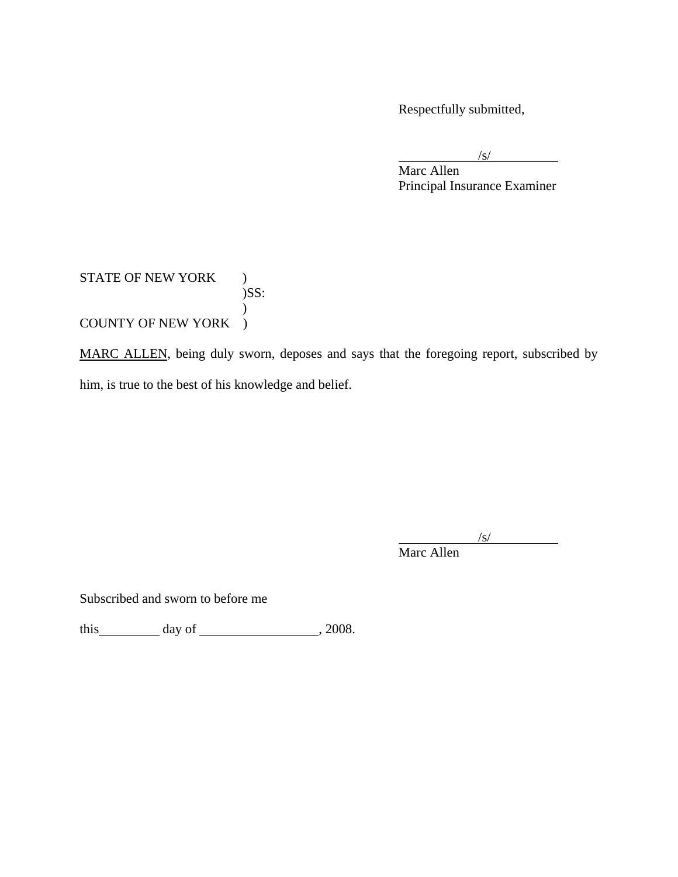Respectfully submitted,

 $\sqrt{s}$ /s/

Marc Allen Principal Insurance Examiner

## STATE OF NEW YORK )  $)$ SS:  $\mathcal{L}$ COUNTY OF NEW YORK )

MARC ALLEN, being duly sworn, deposes and says that the foregoing report, subscribed by him, is true to the best of his knowledge and belief.

 $\sqrt{s}$ /s/

Marc Allen

Subscribed and sworn to before me

this  $\qquad \qquad$  day of  $\qquad \qquad$  , 2008.